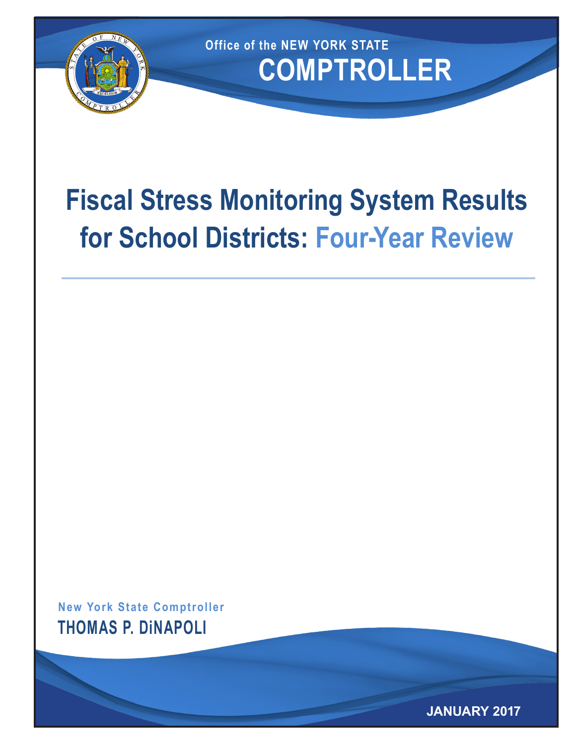

**COMPTROLLER Office of the NEW YORK STATE**

# **Fiscal Stress Monitoring System Results for School Districts: Four-Year Review**

**New York State Comptroller THOMAS P. DiNAPOLI**

**JANUARY 2017**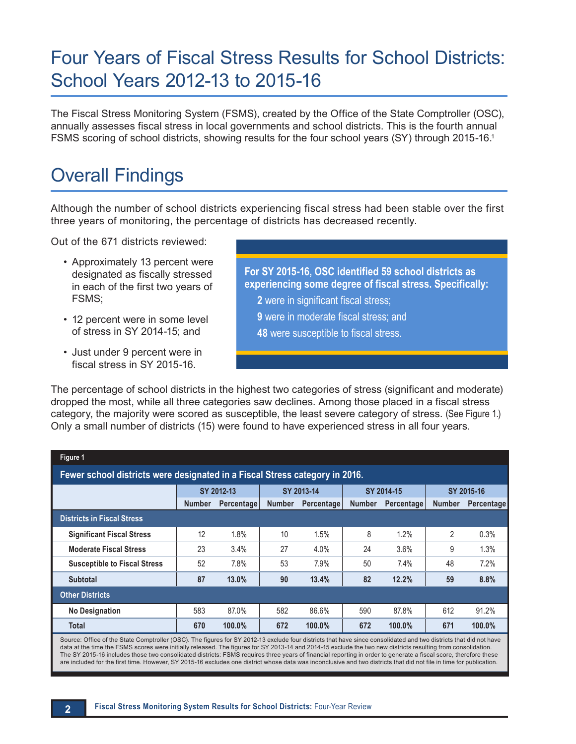## Four Years of Fiscal Stress Results for School Districts: School Years 2012-13 to 2015-16

The Fiscal Stress Monitoring System (FSMS), created by the Office of the State Comptroller (OSC), annually assesses fiscal stress in local governments and school districts. This is the fourth annual FSMS scoring of school districts, showing results for the four school years (SY) through 2015-16.1

### Overall Findings

Although the number of school districts experiencing fiscal stress had been stable over the first three years of monitoring, the percentage of districts has decreased recently.

Out of the 671 districts reviewed:

- Approximately 13 percent were designated as fiscally stressed in each of the first two years of FSMS;
- 12 percent were in some level of stress in SY 2014-15; and
- Just under 9 percent were in fiscal stress in SY 2015-16.

**For SY 2015-16, OSC identified 59 school districts as experiencing some degree of fiscal stress. Specifically: 2** were in significant fiscal stress; **9** were in moderate fiscal stress; and **48** were susceptible to fiscal stress.

The percentage of school districts in the highest two categories of stress (significant and moderate) dropped the most, while all three categories saw declines. Among those placed in a fiscal stress category, the majority were scored as susceptible, the least severe category of stress. (See Figure 1.) Only a small number of districts (15) were found to have experienced stress in all four years.

| Figure 1                                                                                                                                                          |               |            |               |            |               |                   |               |            |
|-------------------------------------------------------------------------------------------------------------------------------------------------------------------|---------------|------------|---------------|------------|---------------|-------------------|---------------|------------|
| Fewer school districts were designated in a Fiscal Stress category in 2016.                                                                                       |               |            |               |            |               |                   |               |            |
|                                                                                                                                                                   | SY 2012-13    |            | SY 2013-14    |            | SY 2014-15    |                   | SY 2015-16    |            |
|                                                                                                                                                                   | <b>Number</b> | Percentage | <b>Number</b> | Percentage | <b>Number</b> | <b>Percentage</b> | <b>Number</b> | Percentage |
| <b>Districts in Fiscal Stress</b>                                                                                                                                 |               |            |               |            |               |                   |               |            |
| <b>Significant Fiscal Stress</b>                                                                                                                                  | 12            | 1.8%       | 10            | 1.5%       | 8             | 1.2%              | 2             | 0.3%       |
| <b>Moderate Fiscal Stress</b>                                                                                                                                     | 23            | 3.4%       | 27            | 4.0%       | 24            | 3.6%              | 9             | 1.3%       |
| <b>Susceptible to Fiscal Stress</b>                                                                                                                               | 52            | 7.8%       | 53            | 7.9%       | 50            | 7.4%              | 48            | 7.2%       |
| <b>Subtotal</b>                                                                                                                                                   | 87            | 13.0%      | 90            | 13.4%      | 82            | 12.2%             | 59            | 8.8%       |
| <b>Other Districts</b>                                                                                                                                            |               |            |               |            |               |                   |               |            |
| <b>No Designation</b>                                                                                                                                             | 583           | 87.0%      | 582           | 86.6%      | 590           | 87.8%             | 612           | 91.2%      |
| Total                                                                                                                                                             | 670           | 100.0%     | 672           | 100.0%     | 672           | 100.0%            | 671           | 100.0%     |
| Source: Office of the State Comptroller (OSC). The figures for SY 2012-13 exclude four districts that have since consolidated and two districts that did not have |               |            |               |            |               |                   |               |            |

data at the time the FSMS scores were initially released. The figures for SY 2013-14 and 2014-15 exclude the two new districts resulting from consolidation. The SY 2015-16 includes those two consolidated districts: FSMS requires three years of financial reporting in order to generate a fiscal score, therefore these are included for the first time. However, SY 2015-16 excludes one district whose data was inconclusive and two districts that did not file in time for publication.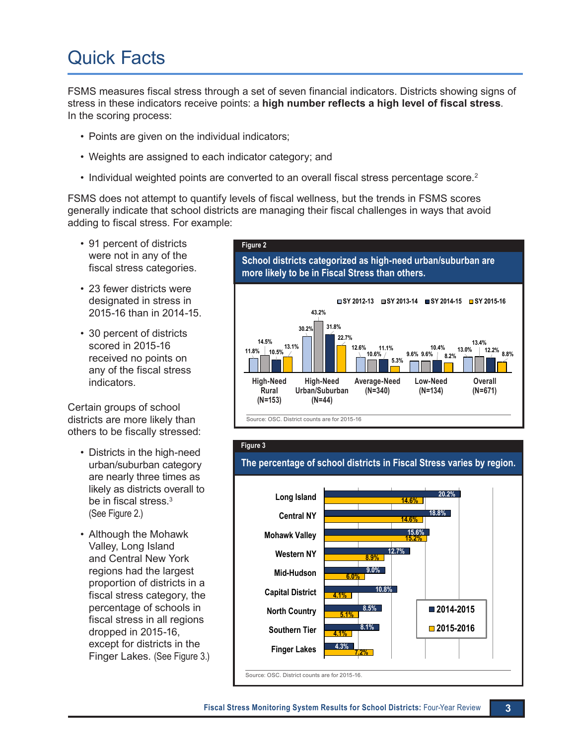## Quick Facts

FSMS measures fiscal stress through a set of seven financial indicators. Districts showing signs of stress in these indicators receive points: a **high number reflects a high level of fiscal stress**. In the scoring process:

- Points are given on the individual indicators;
- Weights are assigned to each indicator category; and
- $\cdot$  Individual weighted points are converted to an overall fiscal stress percentage score.<sup>2</sup>

FSMS does not attempt to quantify levels of fiscal wellness, but the trends in FSMS scores generally indicate that school districts are managing their fiscal challenges in ways that avoid adding to fiscal stress. For example:

- 91 percent of districts were not in any of the fiscal stress categories.
- 23 fewer districts were designated in stress in 2015-16 than in 2014-15.
- 30 percent of districts scored in 2015-16 received no points on any of the fiscal stress indicators.

Certain groups of school districts are more likely than others to be fiscally stressed:

- Districts in the high-need urban/suburban category are nearly three times as likely as districts overall to be in fiscal stress.<sup>3</sup> (See Figure 2.)
- • Although the Mohawk Valley, Long Island and Central New York regions had the largest proportion of districts in a fiscal stress category, the percentage of schools in fiscal stress in all regions dropped in 2015-16, except for districts in the Finger Lakes. (See Figure 3.) **7.2%**





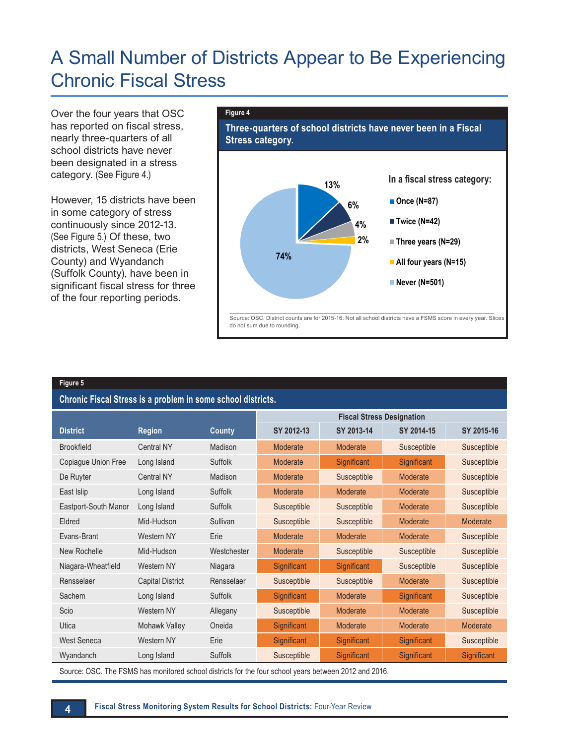### A Small Number of Districts Appear to Be Experiencing Chronic Fiscal Stress

Over the four years that OSC has reported on fiscal stress, nearly three-quarters of all school districts have never been designated in a stress category. (See Figure 4.)

However, 15 districts have been in some category of stress continuously since 2012-13. (See Figure 5.) Of these, two districts, West Seneca (Erie County) and Wyandanch (Suffolk County), have been in significant fiscal stress for three of the four reporting periods.

#### **Figure 4**



#### **Figure 5**

**Chronic Fiscal Stress is a problem in some school districts.** 

|                      |                         |             | <b>Fiscal Stress Designation</b> |                 |             |             |
|----------------------|-------------------------|-------------|----------------------------------|-----------------|-------------|-------------|
| <b>District</b>      | <b>Region</b>           | County      | SY 2012-13                       | SY 2013-14      | SY 2014-15  | SY 2015-16  |
| <b>Brookfield</b>    | <b>Central NY</b>       | Madison     | Moderate                         | <b>Moderate</b> | Susceptible | Susceptible |
| Copiague Union Free  | Long Island             | Suffolk     | Moderate                         | Significant     | Significant | Susceptible |
| De Ruyter            | <b>Central NY</b>       | Madison     | Moderate                         | Susceptible     | Moderate    | Susceptible |
| East Islip           | Long Island             | Suffolk     | Moderate                         | Moderate        | Moderate    | Susceptible |
| Eastport-South Manor | Long Island             | Suffolk     | Susceptible                      | Susceptible     | Moderate    | Susceptible |
| Eldred               | Mid-Hudson              | Sullivan    | Susceptible                      | Susceptible     | Moderate    | Moderate    |
| Evans-Brant          | Western NY              | Erie        | Moderate                         | Moderate        | Moderate    | Susceptible |
| New Rochelle         | Mid-Hudson              | Westchester | Moderate                         | Susceptible     | Susceptible | Susceptible |
| Niagara-Wheatfield   | Western NY              | Niagara     | Significant                      | Significant     | Susceptible | Susceptible |
| Rensselaer           | <b>Capital District</b> | Rensselaer  | Susceptible                      | Susceptible     | Moderate    | Susceptible |
| Sachem               | Long Island             | Suffolk     | Significant                      | Moderate        | Significant | Susceptible |
| Scio                 | Western NY              | Allegany    | Susceptible                      | Moderate        | Moderate    | Susceptible |
| Utica                | Mohawk Valley           | Oneida      | Significant                      | Moderate        | Moderate    | Moderate    |
| <b>West Seneca</b>   | Western NY              | Erie        | Significant                      | Significant     | Significant | Susceptible |
| Wyandanch            | Long Island             | Suffolk     | Susceptible                      | Significant     | Significant | Significant |

Source: OSC. The FSMS has monitored school districts for the four school years between 2012 and 2016.

**4 Fiscal Stress Monitoring System Results for School Districts:** Four-Year Review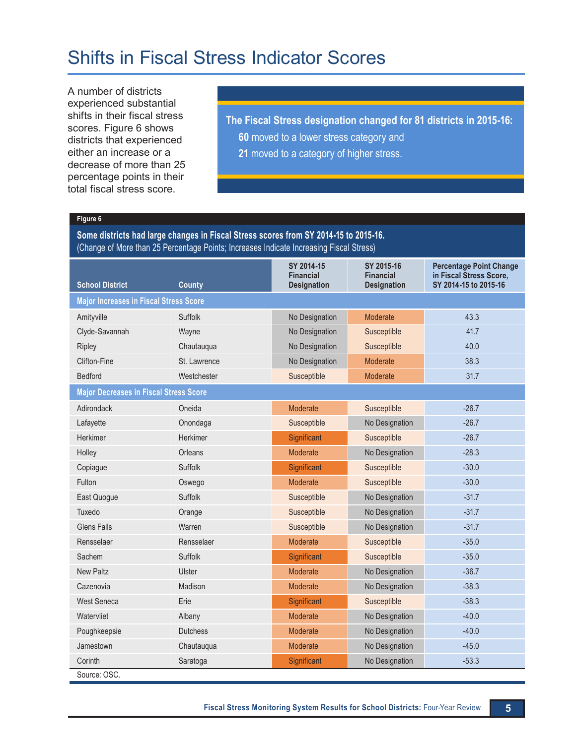### Shifts in Fiscal Stress Indicator Scores

A number of districts experienced substantial shifts in their fiscal stress scores. Figure 6 shows districts that experienced either an increase or a decrease of more than 25 percentage points in their total fiscal stress score.

**The Fiscal Stress designation changed for 81 districts in 2015-16: 60** moved to a lower stress category and

**21** moved to a category of higher stress.

#### **Figure 6**

**Some districts had large changes in Fiscal Stress scores from SY 2014-15 to 2015-16.** (Change of More than 25 Percentage Points; Increases Indicate Increasing Fiscal Stress)

| <b>School District</b>                        | <b>County</b>   | SY 2014-15<br><b>Financial</b><br><b>Designation</b> | SY 2015-16<br><b>Financial</b><br><b>Designation</b> | <b>Percentage Point Change</b><br>in Fiscal Stress Score,<br>SY 2014-15 to 2015-16 |  |  |
|-----------------------------------------------|-----------------|------------------------------------------------------|------------------------------------------------------|------------------------------------------------------------------------------------|--|--|
| <b>Major Increases in Fiscal Stress Score</b> |                 |                                                      |                                                      |                                                                                    |  |  |
| Amityville                                    | Suffolk         | No Designation                                       | Moderate                                             | 43.3                                                                               |  |  |
| Clyde-Savannah                                | Wayne           | No Designation                                       | Susceptible                                          | 41.7                                                                               |  |  |
| Ripley                                        | Chautauqua      | No Designation                                       | Susceptible                                          | 40.0                                                                               |  |  |
| Clifton-Fine                                  | St. Lawrence    | No Designation                                       | Moderate                                             | 38.3                                                                               |  |  |
| <b>Bedford</b>                                | Westchester     | Susceptible                                          | Moderate                                             | 31.7                                                                               |  |  |
| <b>Major Decreases in Fiscal Stress Score</b> |                 |                                                      |                                                      |                                                                                    |  |  |
| Adirondack                                    | Oneida          | Moderate                                             | Susceptible                                          | $-26.7$                                                                            |  |  |
| Lafayette                                     | Onondaga        | Susceptible                                          | No Designation                                       | $-26.7$                                                                            |  |  |
| Herkimer                                      | Herkimer        | Significant                                          | Susceptible                                          | $-26.7$                                                                            |  |  |
| Holley                                        | Orleans         | Moderate                                             | No Designation                                       | $-28.3$                                                                            |  |  |
| Copiague                                      | Suffolk         | Significant                                          | Susceptible                                          | $-30.0$                                                                            |  |  |
| Fulton                                        | Oswego          | Moderate                                             | Susceptible                                          | $-30.0$                                                                            |  |  |
| East Quogue                                   | Suffolk         | Susceptible                                          | No Designation                                       | $-31.7$                                                                            |  |  |
| Tuxedo                                        | Orange          | Susceptible                                          | No Designation                                       | $-31.7$                                                                            |  |  |
| <b>Glens Falls</b>                            | Warren          | Susceptible                                          | No Designation                                       | $-31.7$                                                                            |  |  |
| Rensselaer                                    | Rensselaer      | Moderate                                             | Susceptible                                          | $-35.0$                                                                            |  |  |
| Sachem                                        | Suffolk         | Significant                                          | Susceptible                                          | $-35.0$                                                                            |  |  |
| <b>New Paltz</b>                              | Ulster          | Moderate                                             | No Designation                                       | $-36.7$                                                                            |  |  |
| Cazenovia                                     | Madison         | Moderate                                             | No Designation                                       | $-38.3$                                                                            |  |  |
| West Seneca                                   | Erie            | Significant                                          | Susceptible                                          | $-38.3$                                                                            |  |  |
| Watervliet                                    | Albany          | Moderate                                             | No Designation                                       | $-40.0$                                                                            |  |  |
| Poughkeepsie                                  | <b>Dutchess</b> | Moderate                                             | No Designation                                       | $-40.0$                                                                            |  |  |
| Jamestown                                     | Chautauqua      | Moderate                                             | No Designation                                       | $-45.0$                                                                            |  |  |
| Corinth                                       | Saratoga        | Significant                                          | No Designation                                       | $-53.3$                                                                            |  |  |
| Source: OSC.                                  |                 |                                                      |                                                      |                                                                                    |  |  |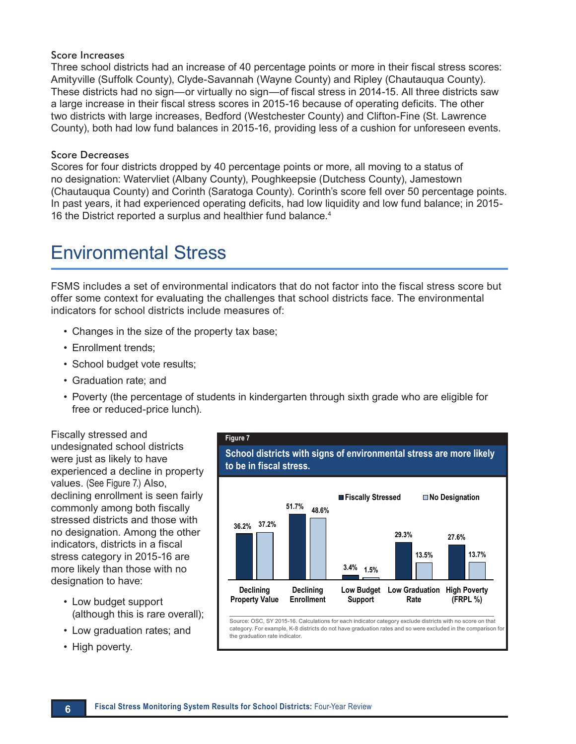#### Score Increases

Three school districts had an increase of 40 percentage points or more in their fiscal stress scores: Amityville (Suffolk County), Clyde-Savannah (Wayne County) and Ripley (Chautauqua County). These districts had no sign—or virtually no sign—of fiscal stress in 2014-15. All three districts saw a large increase in their fiscal stress scores in 2015-16 because of operating deficits. The other two districts with large increases, Bedford (Westchester County) and Clifton-Fine (St. Lawrence County), both had low fund balances in 2015-16, providing less of a cushion for unforeseen events.

#### Score Decreases

Scores for four districts dropped by 40 percentage points or more, all moving to a status of no designation: Watervliet (Albany County), Poughkeepsie (Dutchess County), Jamestown (Chautauqua County) and Corinth (Saratoga County). Corinth's score fell over 50 percentage points. In past years, it had experienced operating deficits, had low liquidity and low fund balance; in 2015- 16 the District reported a surplus and healthier fund balance.<sup>4</sup>

### Environmental Stress

FSMS includes a set of environmental indicators that do not factor into the fiscal stress score but offer some context for evaluating the challenges that school districts face. The environmental indicators for school districts include measures of:

- Changes in the size of the property tax base;
- Enrollment trends;
- School budget vote results;
- • Graduation rate; and
- Poverty (the percentage of students in kindergarten through sixth grade who are eligible for free or reduced-price lunch).

Fiscally stressed and undesignated school districts were just as likely to have experienced a decline in property values. (See Figure 7.) Also, declining enrollment is seen fairly commonly among both fiscally stressed districts and those with no designation. Among the other indicators, districts in a fiscal stress category in 2015-16 are more likely than those with no designation to have:

- Low budget support (although this is rare overall);
- • Low graduation rates; and
- High poverty.



Source: OSC, SY 2015-16. Calculations for each indicator category exclude districts with no score on that category. For example, K-8 districts do not have graduation rates and so were excluded in the comparison for the graduation rate indicator.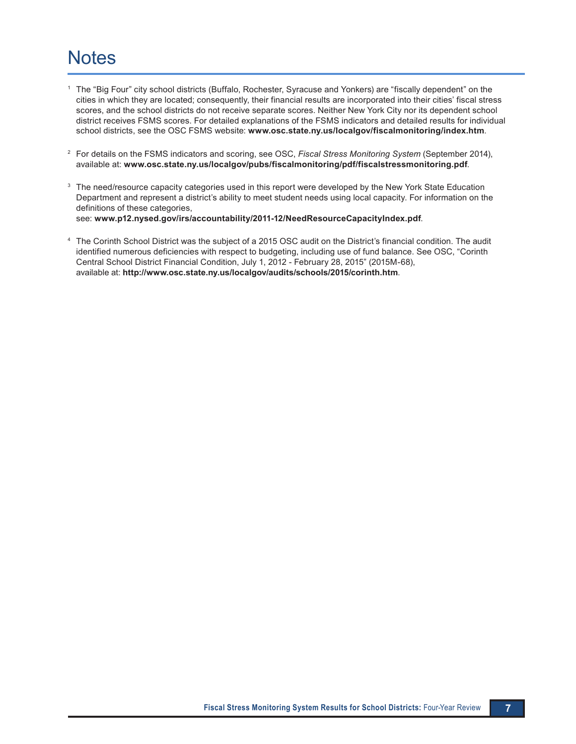### **Notes**

- <sup>1</sup> The "Big Four" city school districts (Buffalo, Rochester, Syracuse and Yonkers) are "fiscally dependent" on the cities in which they are located; consequently, their financial results are incorporated into their cities' fiscal stress scores, and the school districts do not receive separate scores. Neither New York City nor its dependent school district receives FSMS scores. For detailed explanations of the FSMS indicators and detailed results for individual school districts, see the OSC FSMS website: **[www.osc.state.ny.us/localgov/fiscalmonitoring/index.htm](https://www.osc.state.ny.us/local-government/fiscal-monitoring)**.
- <sup>2</sup> For details on the FSMS indicators and scoring, see OSC, *Fiscal Stress Monitoring System* (September 2014), available at: **[www.osc.state.ny.us/localgov/pubs/fiscalmonitoring/pdf/fiscalstressmonitoring.pdf](https://www.osc.state.ny.us/files/local-government/fiscal-monitoring/pdf/fiscalstressmonitoring.pdf)**.
- <sup>3</sup> The need/resource capacity categories used in this report were developed by the New York State Education Department and represent a district's ability to meet student needs using local capacity. For information on the definitions of these categories, see: **[www.p12.nysed.gov/irs/accountability/2011-12/NeedResourceCapacityIndex.pdf](http://www.p12.nysed.gov/irs/accountability/2011-12/NeedResourceCapacityIndex.pdf)**.
- <sup>4</sup> The Corinth School District was the subject of a 2015 OSC audit on the District's financial condition. The audit identified numerous deficiencies with respect to budgeting, including use of fund balance. See OSC, "Corinth Central School District Financial Condition, July 1, 2012 - February 28, 2015" (2015M-68), available at: **[http://www.osc.state.ny.us/localgov/audits/schools/2015/corinth.htm](https://www.osc.state.ny.us/local-government/audits/school-district/2015/06/05/corinth-central-school-district-financial-condition-2015m-68)**.